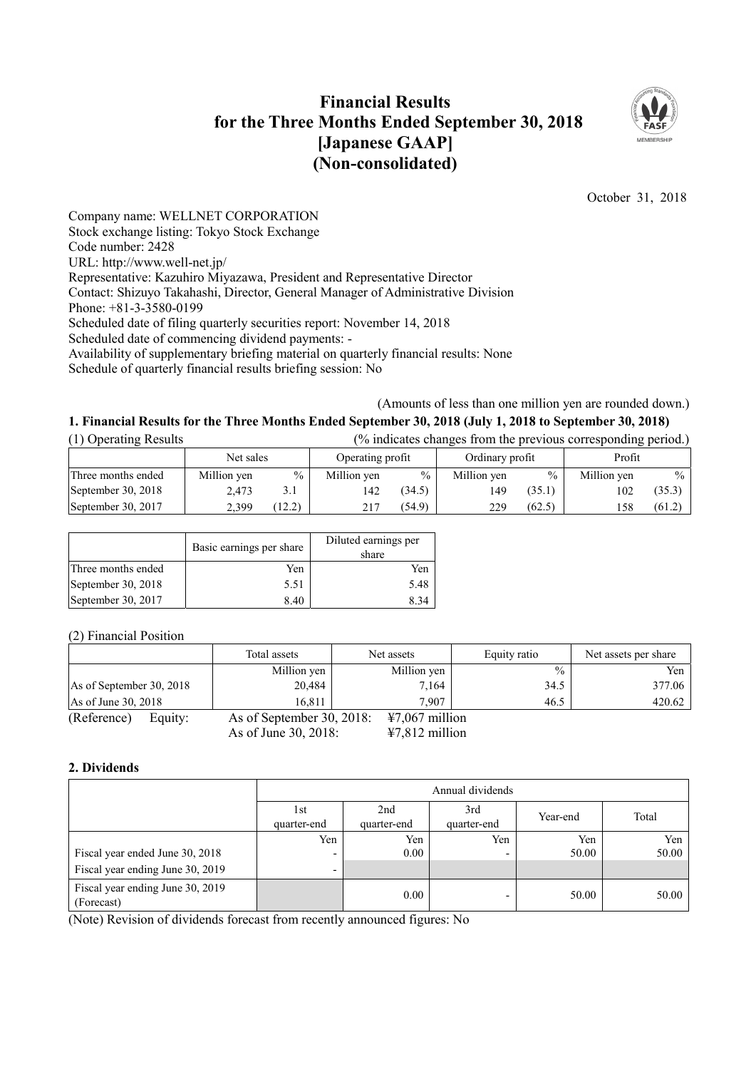## **Financial Results for the Three Months Ended September 30, 2018 [Japanese GAAP] (Non-consolidated)**



October 31, 2018

Company name: WELLNET CORPORATION Stock exchange listing: Tokyo Stock Exchange Code number: 2428 URL: http://www.well-net.jp/ Representative: Kazuhiro Miyazawa, President and Representative Director Contact: Shizuyo Takahashi, Director, General Manager of Administrative Division Phone: +81-3-3580-0199 Scheduled date of filing quarterly securities report: November 14, 2018 Scheduled date of commencing dividend payments: - Availability of supplementary briefing material on quarterly financial results: None Schedule of quarterly financial results briefing session: No

(Amounts of less than one million yen are rounded down.)

# **1. Financial Results for the Three Months Ended September 30, 2018 (July 1, 2018 to September 30, 2018)**

| (1) Operating Results | (% indicates changes from the previous corresponding period.) |        |                  |               |                 |        |             |        |
|-----------------------|---------------------------------------------------------------|--------|------------------|---------------|-----------------|--------|-------------|--------|
|                       | Net sales                                                     |        | Operating profit |               | Ordinary profit |        | Profit      |        |
| Three months ended    | Million yen                                                   | $\%$   | Million yen      | $\frac{0}{0}$ | Million yen     | $\%$   | Million yen | $\%$   |
| September 30, 2018    | 2.473                                                         | 3.1    | 142              | (34.5)        | 149             | (35.1) | 102         | (35.3) |
| September 30, 2017    | 2.399                                                         | (12.2) | 217              | (54.9)        | 229             | (62.5) | 158         | (61.2) |

|                    | Basic earnings per share | Diluted earnings per<br>share |
|--------------------|--------------------------|-------------------------------|
| Three months ended | Yen                      | Yen                           |
| September 30, 2018 | 5.51                     | 5.48                          |
| September 30, 2017 | 8.40                     | 834                           |

(2) Financial Position

|                          | Total assets              | Net assets       | Equity ratio  | Net assets per share |
|--------------------------|---------------------------|------------------|---------------|----------------------|
|                          | Million yen               | Million yen      | $\frac{0}{0}$ | Yen,                 |
| As of September 30, 2018 | 20.484                    | 7,164            | 34.5          | 377.06               |
| As of June 30, 2018      | 16.811                    | 7.907            | 46.5          | 420.62               |
| (Reference)<br>Equity:   | As of September 30, 2018: | $47,067$ million |               |                      |
|                          | As of June 30, 2018:      | $47,812$ million |               |                      |

## **2. Dividends**

|                                                |                    | Annual dividends   |                    |          |       |  |
|------------------------------------------------|--------------------|--------------------|--------------------|----------|-------|--|
|                                                | 1st<br>quarter-end | 2nd<br>quarter-end | 3rd<br>quarter-end | Year-end | Total |  |
|                                                | Yen                | Yen                | Yen                | Yen      | Yen   |  |
| Fiscal year ended June 30, 2018                | -                  | 0.00               |                    | 50.00    | 50.00 |  |
| Fiscal year ending June 30, 2019               |                    |                    |                    |          |       |  |
| Fiscal year ending June 30, 2019<br>(Forecast) |                    | 0.00               | -                  | 50.00    | 50.00 |  |

(Note) Revision of dividends forecast from recently announced figures: No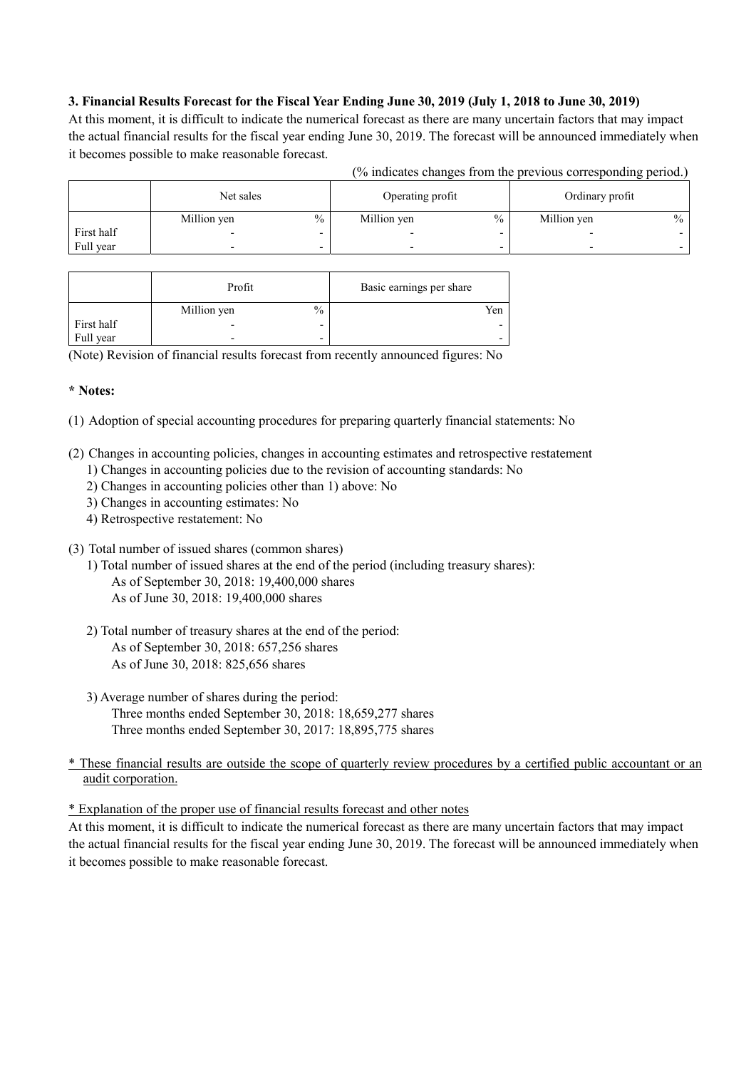## **3. Financial Results Forecast for the Fiscal Year Ending June 30, 2019 (July 1, 2018 to June 30, 2019)**

At this moment, it is difficult to indicate the numerical forecast as there are many uncertain factors that may impact the actual financial results for the fiscal year ending June 30, 2019. The forecast will be announced immediately when it becomes possible to make reasonable forecast.

| (% indicates changes from the previous corresponding period.) |  |  |
|---------------------------------------------------------------|--|--|
|                                                               |  |  |

|            | Net sales   |      | Operating profit         |      | Ordinary profit |               |
|------------|-------------|------|--------------------------|------|-----------------|---------------|
|            | Million yen | $\%$ | Million yen              | $\%$ | Million yen     | $\frac{0}{0}$ |
| First half |             |      |                          |      |                 |               |
| Full year  |             |      | $\overline{\phantom{0}}$ | -    |                 |               |

|            | Profit      |                          | Basic earnings per share |
|------------|-------------|--------------------------|--------------------------|
|            | Million yen | $\frac{0}{0}$            | Yen                      |
| First half |             | $\overline{\phantom{0}}$ |                          |
| Full year  |             | -                        |                          |

(Note) Revision of financial results forecast from recently announced figures: No

## **\* Notes:**

(1) Adoption of special accounting procedures for preparing quarterly financial statements: No

- (2) Changes in accounting policies, changes in accounting estimates and retrospective restatement
	- 1) Changes in accounting policies due to the revision of accounting standards: No
	- 2) Changes in accounting policies other than 1) above: No
	- 3) Changes in accounting estimates: No
	- 4) Retrospective restatement: No
- (3) Total number of issued shares (common shares)
	- 1) Total number of issued shares at the end of the period (including treasury shares): As of September 30, 2018: 19,400,000 shares As of June 30, 2018: 19,400,000 shares
	- 2) Total number of treasury shares at the end of the period: As of September 30, 2018: 657,256 shares As of June 30, 2018: 825,656 shares
	- 3) Average number of shares during the period: Three months ended September 30, 2018: 18,659,277 shares Three months ended September 30, 2017: 18,895,775 shares

\* These financial results are outside the scope of quarterly review procedures by a certified public accountant or an audit corporation.

\* Explanation of the proper use of financial results forecast and other notes

At this moment, it is difficult to indicate the numerical forecast as there are many uncertain factors that may impact the actual financial results for the fiscal year ending June 30, 2019. The forecast will be announced immediately when it becomes possible to make reasonable forecast.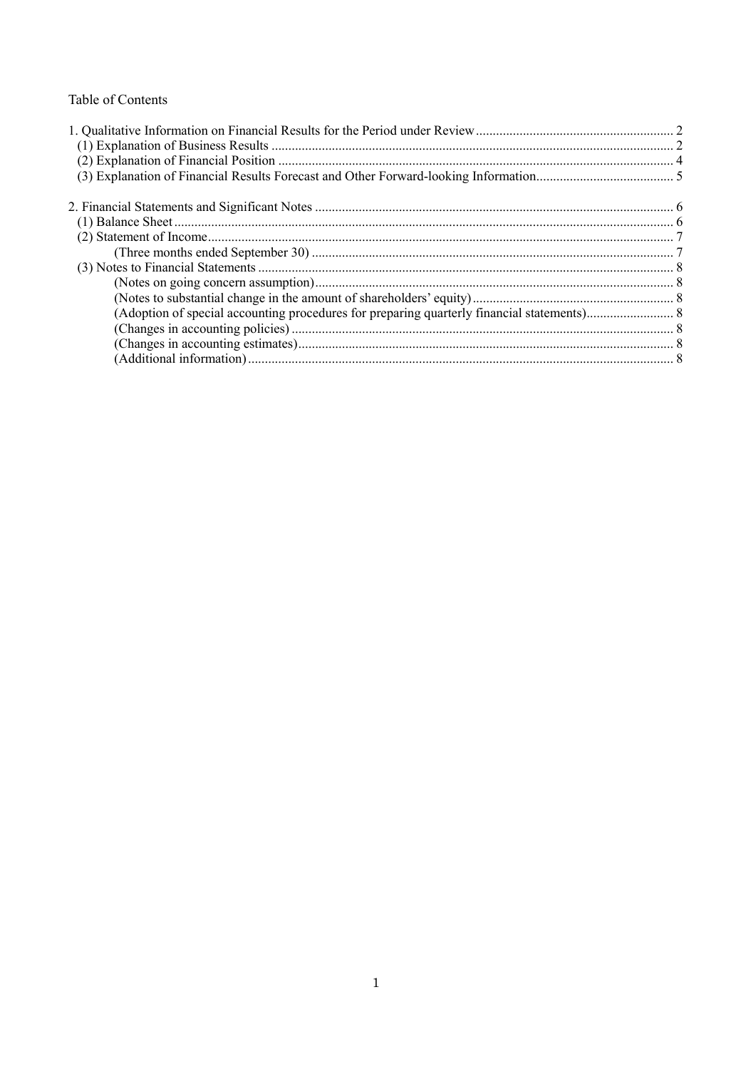## Table of Contents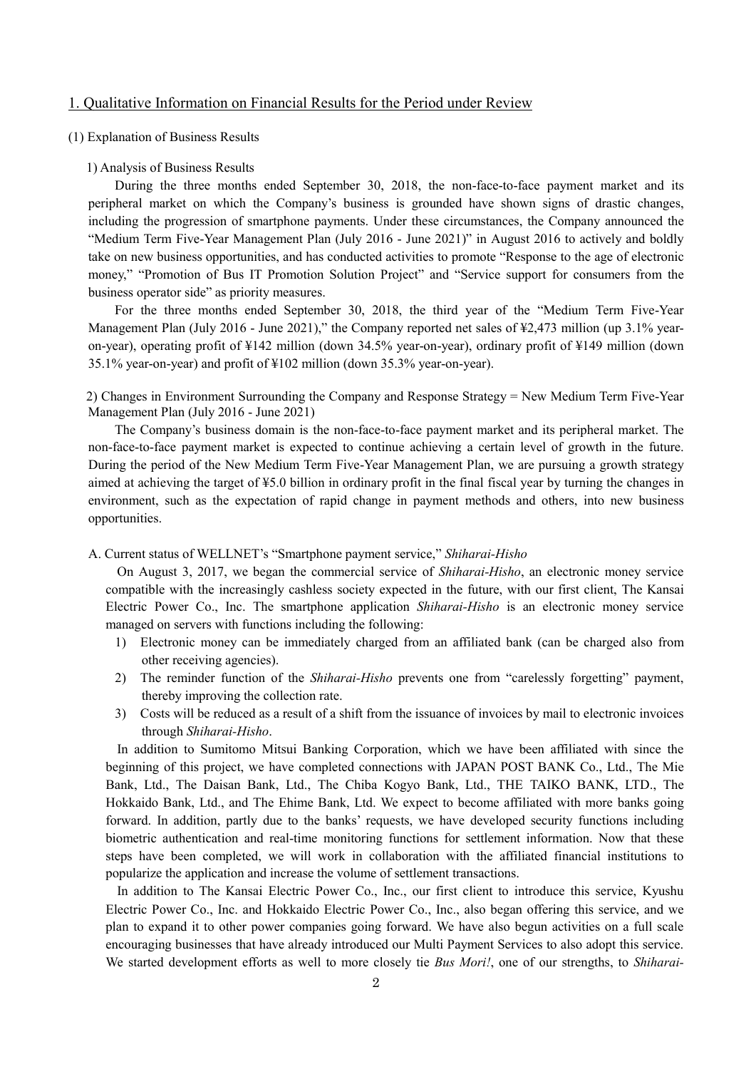## 1. Qualitative Information on Financial Results for the Period under Review

#### (1) Explanation of Business Results

#### 1) Analysis of Business Results

During the three months ended September 30, 2018, the non-face-to-face payment market and its peripheral market on which the Company's business is grounded have shown signs of drastic changes, including the progression of smartphone payments. Under these circumstances, the Company announced the "Medium Term Five-Year Management Plan (July 2016 - June 2021)" in August 2016 to actively and boldly take on new business opportunities, and has conducted activities to promote "Response to the age of electronic money," "Promotion of Bus IT Promotion Solution Project" and "Service support for consumers from the business operator side" as priority measures.

For the three months ended September 30, 2018, the third year of the "Medium Term Five-Year Management Plan (July 2016 - June 2021)," the Company reported net sales of \\$2,473 million (up 3.1% yearon-year), operating profit of ¥142 million (down 34.5% year-on-year), ordinary profit of ¥149 million (down 35.1% year-on-year) and profit of ¥102 million (down 35.3% year-on-year).

2) Changes in Environment Surrounding the Company and Response Strategy = New Medium Term Five-Year Management Plan (July 2016 - June 2021)

The Company's business domain is the non-face-to-face payment market and its peripheral market. The non-face-to-face payment market is expected to continue achieving a certain level of growth in the future. During the period of the New Medium Term Five-Year Management Plan, we are pursuing a growth strategy aimed at achieving the target of ¥5.0 billion in ordinary profit in the final fiscal year by turning the changes in environment, such as the expectation of rapid change in payment methods and others, into new business opportunities.

## A. Current status of WELLNET's "Smartphone payment service," *Shiharai-Hisho*

On August 3, 2017, we began the commercial service of *Shiharai-Hisho*, an electronic money service compatible with the increasingly cashless society expected in the future, with our first client, The Kansai Electric Power Co., Inc. The smartphone application *Shiharai-Hisho* is an electronic money service managed on servers with functions including the following:

- 1) Electronic money can be immediately charged from an affiliated bank (can be charged also from other receiving agencies).
- 2) The reminder function of the *Shiharai-Hisho* prevents one from "carelessly forgetting" payment, thereby improving the collection rate.
- 3) Costs will be reduced as a result of a shift from the issuance of invoices by mail to electronic invoices through *Shiharai-Hisho*.

In addition to Sumitomo Mitsui Banking Corporation, which we have been affiliated with since the beginning of this project, we have completed connections with JAPAN POST BANK Co., Ltd., The Mie Bank, Ltd., The Daisan Bank, Ltd., The Chiba Kogyo Bank, Ltd., THE TAIKO BANK, LTD., The Hokkaido Bank, Ltd., and The Ehime Bank, Ltd. We expect to become affiliated with more banks going forward. In addition, partly due to the banks' requests, we have developed security functions including biometric authentication and real-time monitoring functions for settlement information. Now that these steps have been completed, we will work in collaboration with the affiliated financial institutions to popularize the application and increase the volume of settlement transactions.

In addition to The Kansai Electric Power Co., Inc., our first client to introduce this service, Kyushu Electric Power Co., Inc. and Hokkaido Electric Power Co., Inc., also began offering this service, and we plan to expand it to other power companies going forward. We have also begun activities on a full scale encouraging businesses that have already introduced our Multi Payment Services to also adopt this service. We started development efforts as well to more closely tie *Bus Mori!*, one of our strengths, to *Shiharai-*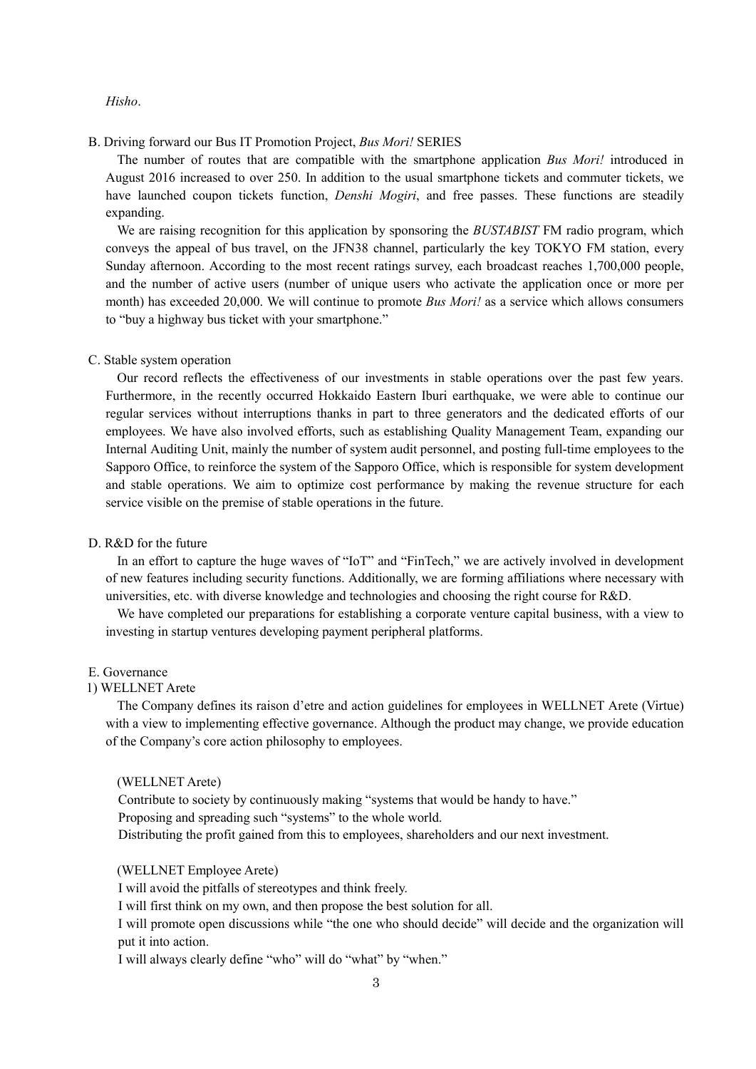#### *Hisho*.

B. Driving forward our Bus IT Promotion Project, *Bus Mori!* SERIES

The number of routes that are compatible with the smartphone application *Bus Mori!* introduced in August 2016 increased to over 250. In addition to the usual smartphone tickets and commuter tickets, we have launched coupon tickets function, *Denshi Mogiri*, and free passes. These functions are steadily expanding.

We are raising recognition for this application by sponsoring the *BUSTABIST* FM radio program, which conveys the appeal of bus travel, on the JFN38 channel, particularly the key TOKYO FM station, every Sunday afternoon. According to the most recent ratings survey, each broadcast reaches 1,700,000 people, and the number of active users (number of unique users who activate the application once or more per month) has exceeded 20,000. We will continue to promote *Bus Mori!* as a service which allows consumers to "buy a highway bus ticket with your smartphone."

#### C. Stable system operation

Our record reflects the effectiveness of our investments in stable operations over the past few years. Furthermore, in the recently occurred Hokkaido Eastern Iburi earthquake, we were able to continue our regular services without interruptions thanks in part to three generators and the dedicated efforts of our employees. We have also involved efforts, such as establishing Quality Management Team, expanding our Internal Auditing Unit, mainly the number of system audit personnel, and posting full-time employees to the Sapporo Office, to reinforce the system of the Sapporo Office, which is responsible for system development and stable operations. We aim to optimize cost performance by making the revenue structure for each service visible on the premise of stable operations in the future.

## D. R&D for the future

In an effort to capture the huge waves of "IoT" and "FinTech," we are actively involved in development of new features including security functions. Additionally, we are forming affiliations where necessary with universities, etc. with diverse knowledge and technologies and choosing the right course for R&D.

We have completed our preparations for establishing a corporate venture capital business, with a view to investing in startup ventures developing payment peripheral platforms.

#### E. Governance

#### 1) WELLNET Arete

The Company defines its raison d'etre and action guidelines for employees in WELLNET Arete (Virtue) with a view to implementing effective governance. Although the product may change, we provide education of the Company's core action philosophy to employees.

#### (WELLNET Arete)

Contribute to society by continuously making "systems that would be handy to have." Proposing and spreading such "systems" to the whole world. Distributing the profit gained from this to employees, shareholders and our next investment.

#### (WELLNET Employee Arete)

I will avoid the pitfalls of stereotypes and think freely.

I will first think on my own, and then propose the best solution for all.

I will promote open discussions while "the one who should decide" will decide and the organization will put it into action.

I will always clearly define "who" will do "what" by "when."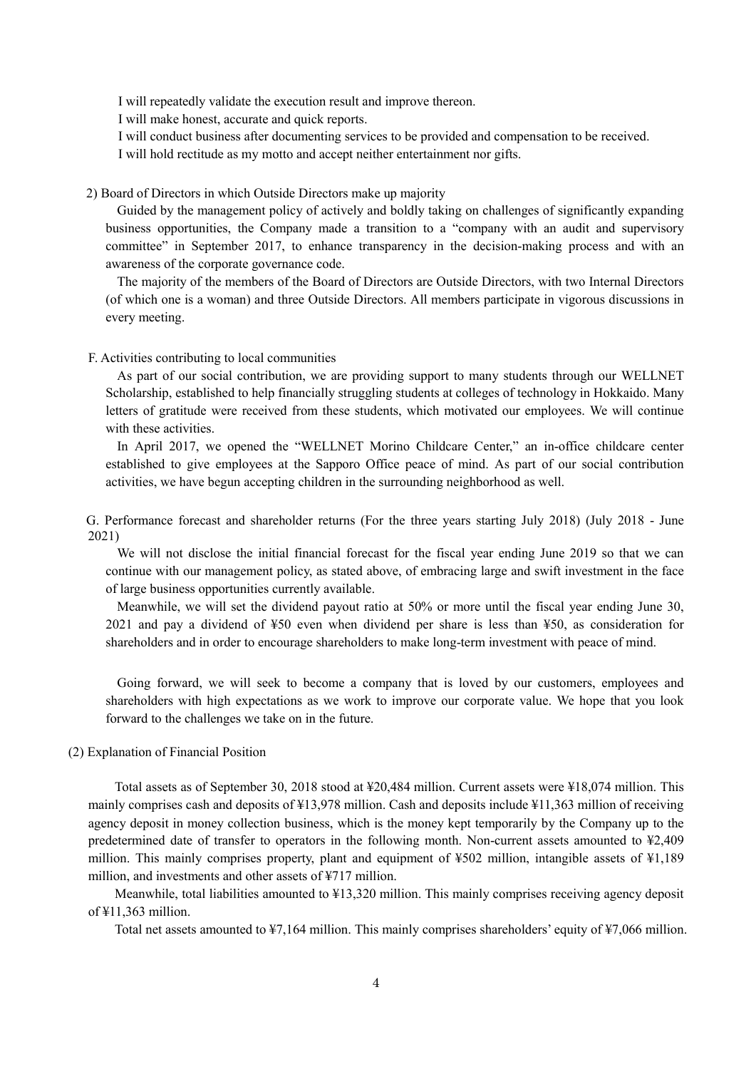I will repeatedly validate the execution result and improve thereon.

I will make honest, accurate and quick reports.

I will conduct business after documenting services to be provided and compensation to be received.

I will hold rectitude as my motto and accept neither entertainment nor gifts.

2) Board of Directors in which Outside Directors make up majority

Guided by the management policy of actively and boldly taking on challenges of significantly expanding business opportunities, the Company made a transition to a "company with an audit and supervisory committee" in September 2017, to enhance transparency in the decision-making process and with an awareness of the corporate governance code.

The majority of the members of the Board of Directors are Outside Directors, with two Internal Directors (of which one is a woman) and three Outside Directors. All members participate in vigorous discussions in every meeting.

#### F. Activities contributing to local communities

As part of our social contribution, we are providing support to many students through our WELLNET Scholarship, established to help financially struggling students at colleges of technology in Hokkaido. Many letters of gratitude were received from these students, which motivated our employees. We will continue with these activities.

In April 2017, we opened the "WELLNET Morino Childcare Center," an in-office childcare center established to give employees at the Sapporo Office peace of mind. As part of our social contribution activities, we have begun accepting children in the surrounding neighborhood as well.

G. Performance forecast and shareholder returns (For the three years starting July 2018) (July 2018 - June 2021)

We will not disclose the initial financial forecast for the fiscal year ending June 2019 so that we can continue with our management policy, as stated above, of embracing large and swift investment in the face of large business opportunities currently available.

Meanwhile, we will set the dividend payout ratio at 50% or more until the fiscal year ending June 30, 2021 and pay a dividend of ¥50 even when dividend per share is less than ¥50, as consideration for shareholders and in order to encourage shareholders to make long-term investment with peace of mind.

Going forward, we will seek to become a company that is loved by our customers, employees and shareholders with high expectations as we work to improve our corporate value. We hope that you look forward to the challenges we take on in the future.

#### (2) Explanation of Financial Position

Total assets as of September 30, 2018 stood at ¥20,484 million. Current assets were ¥18,074 million. This mainly comprises cash and deposits of ¥13,978 million. Cash and deposits include ¥11,363 million of receiving agency deposit in money collection business, which is the money kept temporarily by the Company up to the predetermined date of transfer to operators in the following month. Non-current assets amounted to ¥2,409 million. This mainly comprises property, plant and equipment of ¥502 million, intangible assets of ¥1,189 million, and investments and other assets of ¥717 million.

Meanwhile, total liabilities amounted to ¥13,320 million. This mainly comprises receiving agency deposit of ¥11,363 million.

Total net assets amounted to ¥7,164 million. This mainly comprises shareholders' equity of ¥7,066 million.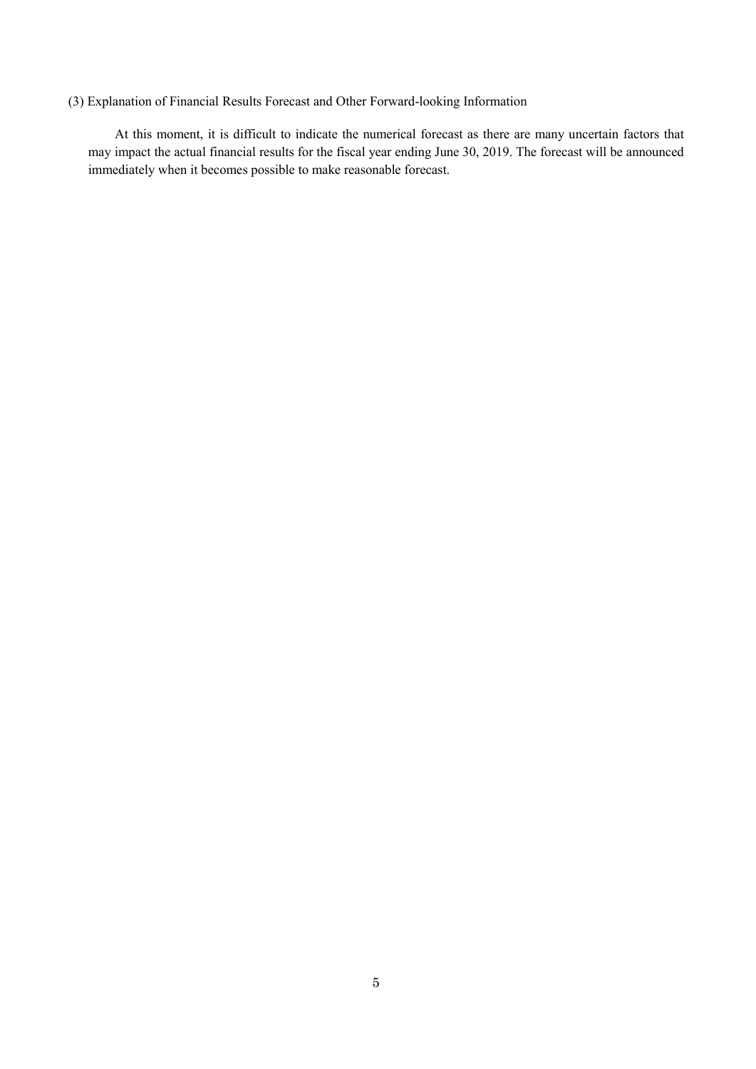## (3) Explanation of Financial Results Forecast and Other Forward-looking Information

At this moment, it is difficult to indicate the numerical forecast as there are many uncertain factors that may impact the actual financial results for the fiscal year ending June 30, 2019. The forecast will be announced immediately when it becomes possible to make reasonable forecast.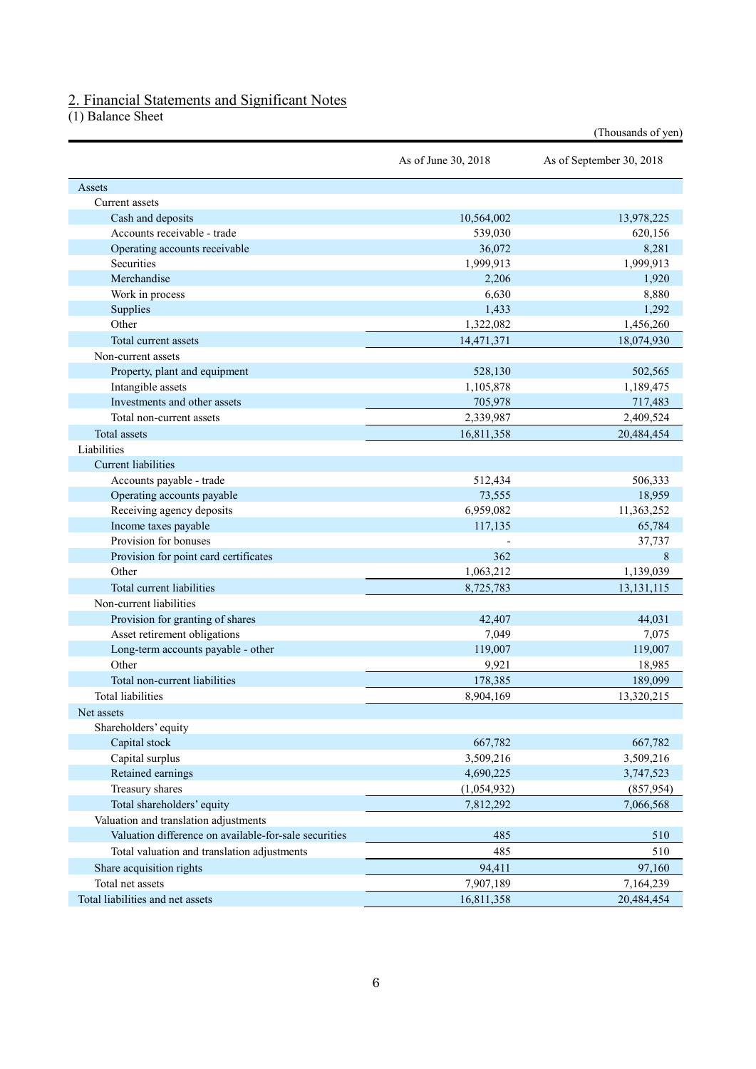## 2. Financial Statements and Significant Notes

(1) Balance Sheet

|                                                       |                     | (Thousands of yen)       |
|-------------------------------------------------------|---------------------|--------------------------|
|                                                       | As of June 30, 2018 | As of September 30, 2018 |
| Assets                                                |                     |                          |
| Current assets                                        |                     |                          |
| Cash and deposits                                     | 10,564,002          | 13,978,225               |
| Accounts receivable - trade                           | 539,030             | 620,156                  |
| Operating accounts receivable                         | 36,072              | 8,281                    |
| Securities                                            | 1,999,913           | 1,999,913                |
| Merchandise                                           | 2,206               | 1,920                    |
| Work in process                                       | 6,630               | 8,880                    |
| Supplies                                              | 1,433               | 1,292                    |
| Other                                                 | 1,322,082           | 1,456,260                |
| Total current assets                                  | 14,471,371          | 18,074,930               |
| Non-current assets                                    |                     |                          |
| Property, plant and equipment                         | 528,130             | 502,565                  |
| Intangible assets                                     | 1,105,878           | 1,189,475                |
| Investments and other assets                          | 705,978             | 717,483                  |
| Total non-current assets                              | 2,339,987           | 2,409,524                |
| Total assets                                          | 16,811,358          | 20,484,454               |
| Liabilities                                           |                     |                          |
| <b>Current liabilities</b>                            |                     |                          |
| Accounts payable - trade                              | 512,434             | 506,333                  |
| Operating accounts payable                            | 73,555              | 18,959                   |
| Receiving agency deposits                             | 6,959,082           | 11,363,252               |
| Income taxes payable                                  | 117,135             | 65,784                   |
| Provision for bonuses                                 |                     | 37,737                   |
| Provision for point card certificates                 | 362                 | 8                        |
| Other                                                 | 1,063,212           | 1,139,039                |
| Total current liabilities                             |                     |                          |
|                                                       | 8,725,783           | 13, 131, 115             |
| Non-current liabilities                               |                     |                          |
| Provision for granting of shares                      | 42,407              | 44,031                   |
| Asset retirement obligations                          | 7,049               | 7,075                    |
| Long-term accounts payable - other                    | 119,007             | 119,007                  |
| Other                                                 | 9,921               | 18,985                   |
| Total non-current liabilities                         | 178,385             | 189,099                  |
| <b>Total liabilities</b>                              | 8,904,169           | 13,320,215               |
| Net assets                                            |                     |                          |
| Shareholders' equity                                  |                     |                          |
| Capital stock                                         | 667,782             | 667,782                  |
| Capital surplus                                       | 3,509,216           | 3,509,216                |
| Retained earnings                                     | 4,690,225           | 3,747,523                |
| Treasury shares                                       | (1,054,932)         | (857, 954)               |
| Total shareholders' equity                            | 7,812,292           | 7,066,568                |
| Valuation and translation adjustments                 |                     |                          |
| Valuation difference on available-for-sale securities | 485                 | 510                      |
| Total valuation and translation adjustments           | 485                 | 510                      |
| Share acquisition rights                              | 94,411              | 97,160                   |
| Total net assets                                      | 7,907,189           | 7,164,239                |
| Total liabilities and net assets                      | 16,811,358          | 20,484,454               |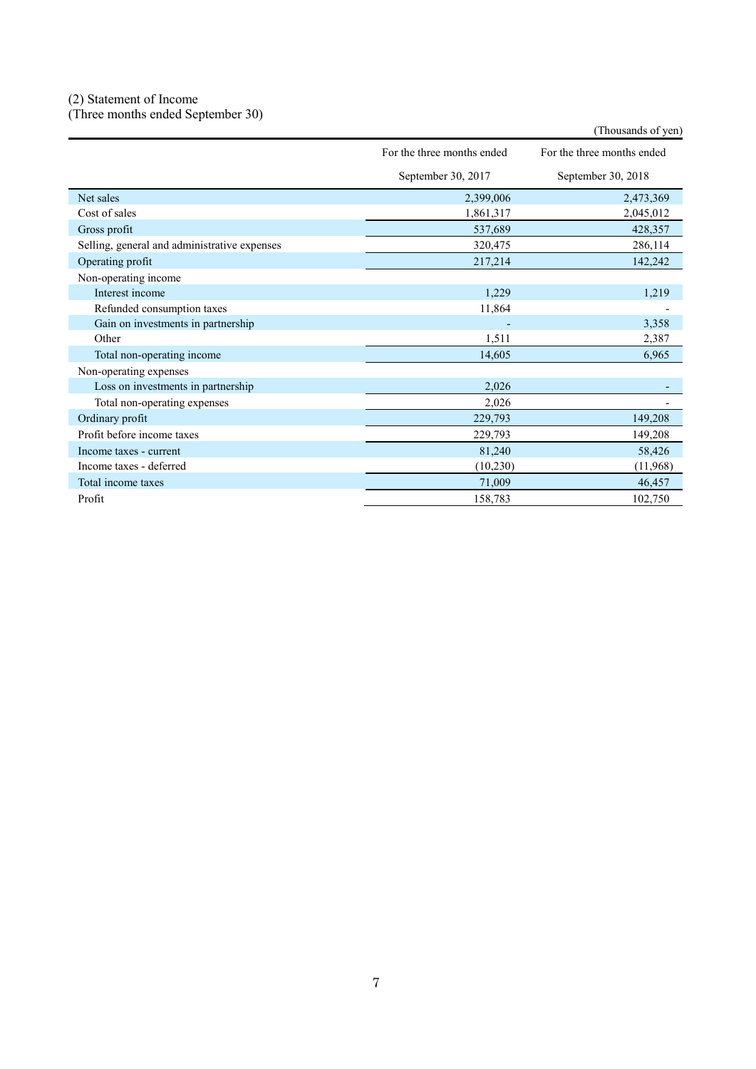## (2) Statement of Income

(Three months ended September 30)

|                                              |                            | (Thousands of yen)         |
|----------------------------------------------|----------------------------|----------------------------|
|                                              | For the three months ended | For the three months ended |
|                                              | September 30, 2017         | September 30, 2018         |
| Net sales                                    | 2,399,006                  | 2,473,369                  |
| Cost of sales                                | 1,861,317                  | 2,045,012                  |
| Gross profit                                 | 537,689                    | 428,357                    |
| Selling, general and administrative expenses | 320,475                    | 286,114                    |
| Operating profit                             | 217,214                    | 142,242                    |
| Non-operating income                         |                            |                            |
| Interest income                              | 1,229                      | 1,219                      |
| Refunded consumption taxes                   | 11,864                     |                            |
| Gain on investments in partnership           |                            | 3,358                      |
| Other                                        | 1,511                      | 2,387                      |
| Total non-operating income                   | 14,605                     | 6,965                      |
| Non-operating expenses                       |                            |                            |
| Loss on investments in partnership           | 2,026                      |                            |
| Total non-operating expenses                 | 2,026                      |                            |
| Ordinary profit                              | 229,793                    | 149,208                    |
| Profit before income taxes                   | 229,793                    | 149,208                    |
| Income taxes - current                       | 81,240                     | 58,426                     |
| Income taxes - deferred                      | (10, 230)                  | (11,968)                   |
| Total income taxes                           | 71,009                     | 46,457                     |
| Profit                                       | 158,783                    | 102,750                    |